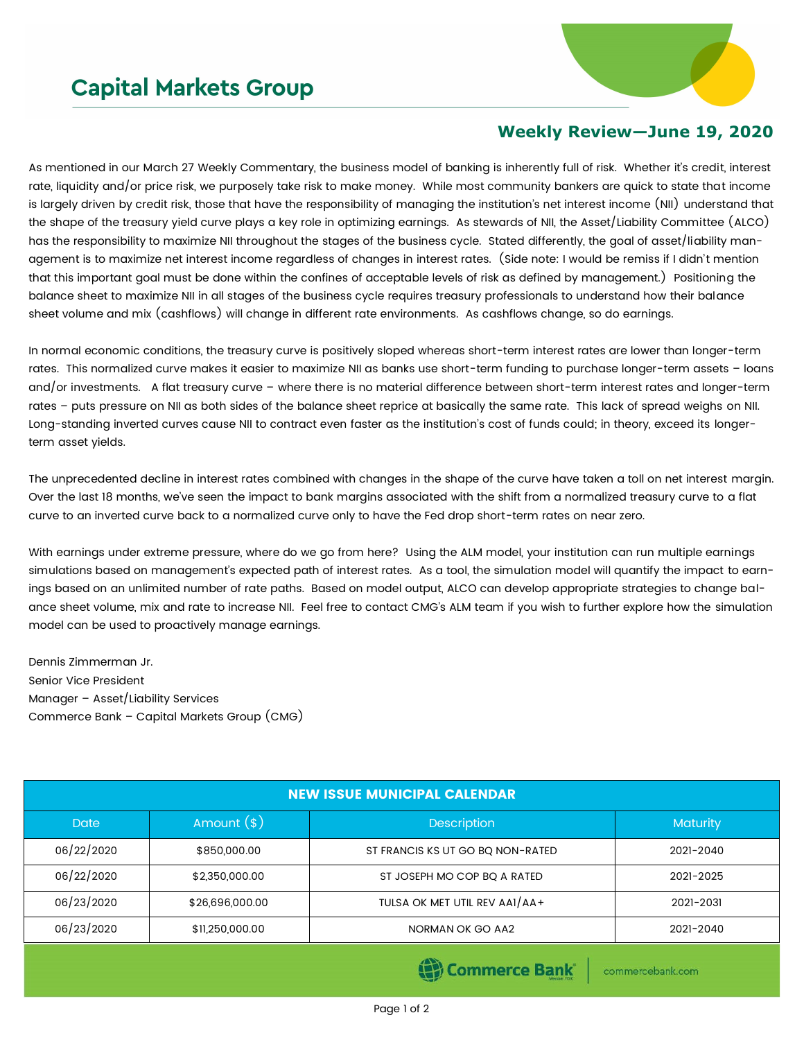## **Capital Markets Group**



## **Weekly Review—June 19, 2020**

As mentioned in our March 27 Weekly Commentary, the business model of banking is inherently full of risk. Whether it's credit, interest rate, liquidity and/or price risk, we purposely take risk to make money. While most community bankers are quick to state that income is largely driven by credit risk, those that have the responsibility of managing the institution's net interest income (NII) understand that the shape of the treasury yield curve plays a key role in optimizing earnings. As stewards of NII, the Asset/Liability Committee (ALCO) has the responsibility to maximize NII throughout the stages of the business cycle. Stated differently, the goal of asset/liability management is to maximize net interest income regardless of changes in interest rates. (Side note: I would be remiss if I didn't mention that this important goal must be done within the confines of acceptable levels of risk as defined by management.) Positioning the balance sheet to maximize NII in all stages of the business cycle requires treasury professionals to understand how their balance sheet volume and mix (cashflows) will change in different rate environments. As cashflows change, so do earnings.

In normal economic conditions, the treasury curve is positively sloped whereas short-term interest rates are lower than longer-term rates. This normalized curve makes it easier to maximize NII as banks use short-term funding to purchase longer-term assets – loans and/or investments. A flat treasury curve – where there is no material difference between short-term interest rates and longer-term rates – puts pressure on NII as both sides of the balance sheet reprice at basically the same rate. This lack of spread weighs on NII. Long-standing inverted curves cause NII to contract even faster as the institution's cost of funds could; in theory, exceed its longerterm asset yields.

The unprecedented decline in interest rates combined with changes in the shape of the curve have taken a toll on net interest margin. Over the last 18 months, we've seen the impact to bank margins associated with the shift from a normalized treasury curve to a flat curve to an inverted curve back to a normalized curve only to have the Fed drop short-term rates on near zero.

With earnings under extreme pressure, where do we go from here? Using the ALM model, your institution can run multiple earnings simulations based on management's expected path of interest rates. As a tool, the simulation model will quantify the impact to earnings based on an unlimited number of rate paths. Based on model output, ALCO can develop appropriate strategies to change balance sheet volume, mix and rate to increase NII. Feel free to contact CMG's ALM team if you wish to further explore how the simulation model can be used to proactively manage earnings.

Dennis Zimmerman Jr. Senior Vice President Manager – Asset/Liability Services Commerce Bank – Capital Markets Group (CMG)

| <b>NEW ISSUE MUNICIPAL CALENDAR</b> |                 |                                  |                 |  |  |  |
|-------------------------------------|-----------------|----------------------------------|-----------------|--|--|--|
| <b>Date</b>                         | Amount $(*)$    | <b>Description</b>               | <b>Maturity</b> |  |  |  |
| 06/22/2020                          | \$850,000.00    | ST FRANCIS KS UT GO BO NON-RATED | 2021-2040       |  |  |  |
| 06/22/2020                          | \$2,350,000.00  | ST JOSEPH MO COP BQ A RATED      | 2021-2025       |  |  |  |
| 06/23/2020                          | \$26,696,000.00 | TULSA OK MET UTIL REV AA1/AA+    | 2021-2031       |  |  |  |
| 06/23/2020                          | \$11,250,000.00 | NORMAN OK GO AA2                 | 2021-2040       |  |  |  |
|                                     |                 |                                  |                 |  |  |  |

Commerce Bank

commercebank.com